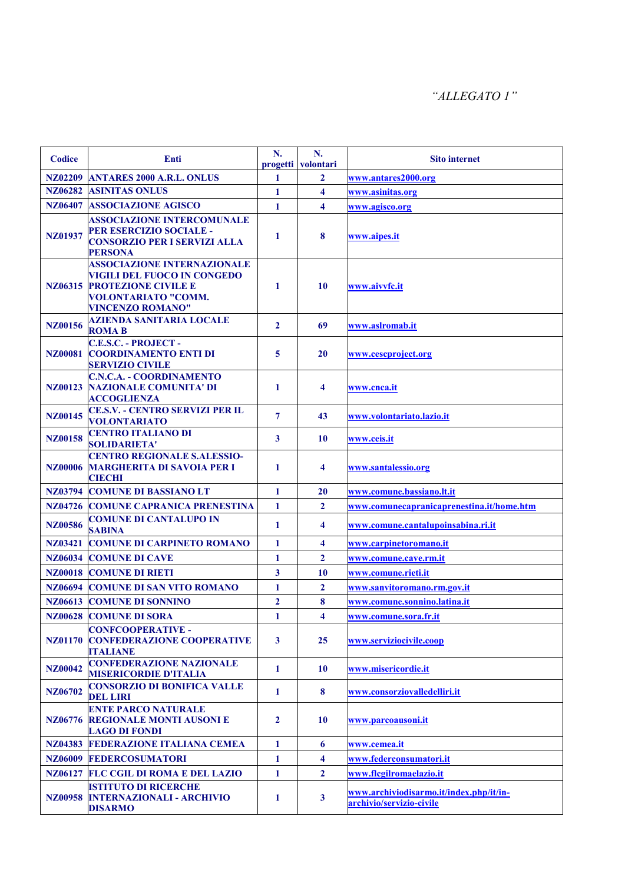| <b>Codice</b>  | Enti                                                                                                                                                            | N.<br>progetti | N.<br>volontari         | <b>Sito internet</b>                                                |
|----------------|-----------------------------------------------------------------------------------------------------------------------------------------------------------------|----------------|-------------------------|---------------------------------------------------------------------|
| NZ02209        | <b>ANTARES 2000 A.R.L. ONLUS</b>                                                                                                                                | 1              | $\mathbf{2}$            | www.antares2000.org                                                 |
| NZ06282        | <b>ASINITAS ONLUS</b>                                                                                                                                           | 1              | 4                       | www.asinitas.org                                                    |
| NZ06407        | <b>ASSOCIAZIONE AGISCO</b>                                                                                                                                      | $\mathbf{1}$   | $\overline{\mathbf{4}}$ | www.agisco.org                                                      |
| NZ01937        | <b>ASSOCIAZIONE INTERCOMUNALE</b><br>PER ESERCIZIO SOCIALE -<br><b>CONSORZIO PER I SERVIZI ALLA</b><br><b>PERSONA</b>                                           | 1              | 8                       | www.aipes.it                                                        |
| NZ06315        | <b>ASSOCIAZIONE INTERNAZIONALE</b><br><b>VIGILI DEL FUOCO IN CONGEDO</b><br><b>PROTEZIONE CIVILE E</b><br><b>VOLONTARIATO "COMM.</b><br><b>VINCENZO ROMANO"</b> | $\mathbf{1}$   | 10                      | www.aivvfc.it                                                       |
| NZ00156        | <b>AZIENDA SANITARIA LOCALE</b><br><b>ROMAB</b>                                                                                                                 | $\overline{2}$ | 69                      | www.aslromab.it                                                     |
| NZ00081        | <b>C.E.S.C. - PROJECT -</b><br><b>COORDINAMENTO ENTI DI</b><br><b>SERVIZIO CIVILE</b>                                                                           | $\overline{5}$ | 20                      | www.cescproject.org                                                 |
| NZ00123        | <b>C.N.C.A. - COORDINAMENTO</b><br><b>NAZIONALE COMUNITA' DI</b><br><b>ACCOGLIENZA</b>                                                                          | 1              | 4                       | www.cnca.it                                                         |
| NZ00145        | <b>CE.S.V. - CENTRO SERVIZI PER IL</b><br><b>VOLONTARIATO</b>                                                                                                   | $\overline{7}$ | 43                      | www.volontariato.lazio.it                                           |
| NZ00158        | <b>CENTRO ITALIANO DI</b><br><b>SOLIDARIETA'</b>                                                                                                                | $\mathbf{3}$   | 10                      | www.ceis.it                                                         |
| <b>NZ00006</b> | <b>CENTRO REGIONALE S.ALESSIO-</b><br><b>MARGHERITA DI SAVOIA PER I</b><br><b>CIECHI</b>                                                                        | $\mathbf{1}$   | $\overline{\mathbf{4}}$ | www.santalessio.org                                                 |
|                | <b>NZ03794 COMUNE DI BASSIANO LT</b>                                                                                                                            | $\mathbf{1}$   | 20                      | www.comune.bassiano.lt.it                                           |
| NZ04726        | <b>COMUNE CAPRANICA PRENESTINA</b>                                                                                                                              | $\mathbf{1}$   | $\overline{2}$          | www.comunecapranicaprenestina.it/home.htm                           |
| NZ00586        | <b>COMUNE DI CANTALUPO IN</b><br><b>SABINA</b>                                                                                                                  | $\mathbf{1}$   | 4                       | www.comune.cantalupoinsabina.ri.it                                  |
| NZ03421        | <b>COMUNE DI CARPINETO ROMANO</b>                                                                                                                               | $\mathbf{1}$   | $\overline{\mathbf{4}}$ | www.carpinetoromano.it                                              |
| NZ06034        | <b>COMUNE DI CAVE</b>                                                                                                                                           | 1              | $\mathbf{2}$            | www.comune.cave.rm.it                                               |
|                | <b>NZ00018 COMUNE DI RIETI</b>                                                                                                                                  | $\mathbf{3}$   | 10                      | www.comune.rieti.it                                                 |
| NZ06694        | <b>COMUNE DI SAN VITO ROMANO</b>                                                                                                                                | $\mathbf{1}$   | $\overline{2}$          | www.sanvitoromano.rm.gov.it                                         |
|                | <b>NZ06613 COMUNE DI SONNINO</b>                                                                                                                                | $\mathbf{2}$   | 8                       | www.comune.sonnino.latina.it                                        |
|                | <b>NZ00628 COMUNE DI SORA</b>                                                                                                                                   | 1              | 4                       | www.comune.sora.fr.it                                               |
| <b>NZ01170</b> | <b>CONFCOOPERATIVE -</b><br><b>CONFEDERAZIONE COOPERATIVE</b><br><b>ITALIANE</b>                                                                                | $\mathbf{3}$   | 25                      | www.serviziocivile.coop                                             |
| <b>NZ00042</b> | <b>CONFEDERAZIONE NAZIONALE</b><br><b>MISERICORDIE D'ITALIA</b>                                                                                                 | 1              | <b>10</b>               | www.misericordie.it                                                 |
| NZ06702        | <b>CONSORZIO DI BONIFICA VALLE</b><br><b>DEL LIRI</b>                                                                                                           | 1              | 8                       | www.consorziovalledelliri.it                                        |
| NZ06776        | <b>ENTE PARCO NATURALE</b><br><b>REGIONALE MONTI AUSONI E</b><br><b>LAGO DI FONDI</b>                                                                           | $\overline{2}$ | 10                      | www.parcoausoni.it                                                  |
| NZ04383        | <b>FEDERAZIONE ITALIANA CEMEA</b>                                                                                                                               | $\mathbf{1}$   | 6                       | www.cemea.it                                                        |
| NZ06009        | <b>FEDERCOSUMATORI</b>                                                                                                                                          | 1              | $\overline{\mathbf{4}}$ | www.federconsumatori.it                                             |
| NZ06127        | <b>FLC CGIL DI ROMA E DEL LAZIO</b>                                                                                                                             | $\mathbf{1}$   | $\mathbf{2}$            | www.flcgilromaelazio.it                                             |
| NZ00958        | <b>ISTITUTO DI RICERCHE</b><br><b>INTERNAZIONALI - ARCHIVIO</b><br><b>DISARMO</b>                                                                               | 1              | $\mathbf{3}$            | www.archiviodisarmo.it/index.php/it/in-<br>archivio/servizio-civile |